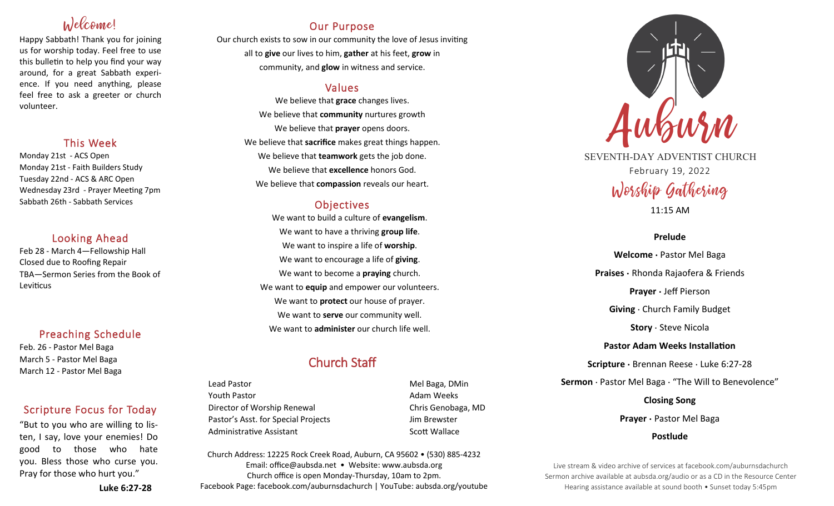# Welcome!

Happy Sabbath! Thank you for joining us for worship today. Feel free to use this bulletin to help you find your way around, for a great Sabbath experience. If you need anything, please feel free to ask a greeter or church volunteer.

### This Week

Monday 21st - ACS Open Monday 21st - Faith Builders Study Tuesday 22nd - ACS & ARC Open Wednesday 23rd - Prayer Meeting 7pm Sabbath 26th - Sabbath Services

### Looking Ahead

Feb 28 - March 4—Fellowship Hall Closed due to Roofing Repair TBA—Sermon Series from the Book of **Leviticus** 

### Preaching Schedule

Feb. 26 - Pastor Mel Baga March 5 - Pastor Mel Baga March 12 - Pastor Mel Baga

## Scripture Focus for Today

"But to you who are willing to listen, I say, love your enemies! Do good to those who hate you. Bless those who curse you. Pray for those who hurt you."

**Luke 6:27-28**

## Our Purpose

Our church exists to sow in our community the love of Jesus inviting all to **give** our lives to him, **gather** at his feet, **grow** in community, and **glow** in witness and service.

### Values

We believe that **grace** changes lives. We believe that **community** nurtures growth We believe that **prayer** opens doors. We believe that **sacrifice** makes great things happen. We believe that **teamwork** gets the job done. We believe that **excellence** honors God. We believe that **compassion** reveals our heart.

## **Objectives**

We want to build a culture of **evangelism**. We want to have a thriving **group life**. We want to inspire a life of **worship**. We want to encourage a life of **giving**. We want to become a **praying** church. We want to **equip** and empower our volunteers. We want to **protect** our house of prayer. We want to **serve** our community well. We want to **administer** our church life well.

# Church Staff

Lead Pastor New York 1990 (New York 1990) and Mel Baga, DMin Youth Pastor **Adam Weeks Adam Weeks** Director of Worship Renewal Chris Genobaga, MD Pastor's Asst. for Special Projects Fig. 3.1 Jim Brewster Administrative Assistant National Controllery Scott Wallace

Church Address: 12225 Rock Creek Road, Auburn, CA 95602 • (530) 885-4232 Email: office@aubsda.net • Website: www.aubsda.org Church office is open Monday-Thursday, 10am to 2pm. Facebook Page: facebook.com/auburnsdachurch | YouTube: aubsda.org/youtube



SEVENTH-DAY ADVENTIST CHURCH February 19, 2022 Worship Gathering

11:15 AM

### **Prelude**

**Welcome ·** Pastor Mel Baga **Praises ·** Rhonda Rajaofera & Friends **Prayer ·** Jeff Pierson **Giving** · Church Family Budget **Story** · Steve Nicola **Pastor Adam Weeks Installation Scripture ·** Brennan Reese · Luke 6:27-28 **Sermon** · Pastor Mel Baga · "The Will to Benevolence" **Closing Song Prayer ·** Pastor Mel Baga

**Postlude**

Live stream & video archive of services at facebook.com/auburnsdachurch Sermon archive available at aubsda.org/audio or as a CD in the Resource Center Hearing assistance available at sound booth • Sunset today 5:45pm